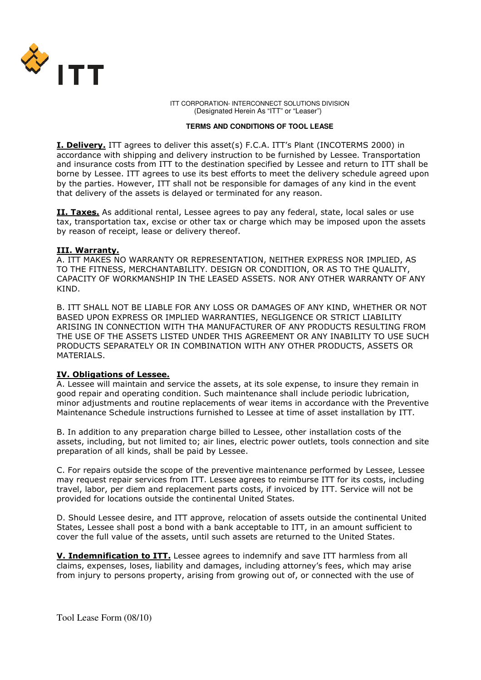

 ITT CORPORATION- INTERCONNECT SOLUTIONS DIVISION (Designated Herein As "ITT" or "Leaser")

#### **TERMS AND CONDITIONS OF TOOL LEASE**

I. Delivery. ITT agrees to deliver this asset(s) F.C.A. ITT's Plant (INCOTERMS 2000) in accordance with shipping and delivery instruction to be furnished by Lessee. Transportation and insurance costs from ITT to the destination specified by Lessee and return to ITT shall be borne by Lessee. ITT agrees to use its best efforts to meet the delivery schedule agreed upon by the parties. However, ITT shall not be responsible for damages of any kind in the event that delivery of the assets is delayed or terminated for any reason.

II. Taxes. As additional rental, Lessee agrees to pay any federal, state, local sales or use tax, transportation tax, excise or other tax or charge which may be imposed upon the assets by reason of receipt, lease or delivery thereof.

### III. Warranty.

A. ITT MAKES NO WARRANTY OR REPRESENTATION, NEITHER EXPRESS NOR IMPLIED, AS TO THE FITNESS, MERCHANTABILITY. DESIGN OR CONDITION, OR AS TO THE QUALITY, CAPACITY OF WORKMANSHIP IN THE LEASED ASSETS. NOR ANY OTHER WARRANTY OF ANY KIND.

B. ITT SHALL NOT BE LIABLE FOR ANY LOSS OR DAMAGES OF ANY KIND, WHETHER OR NOT BASED UPON EXPRESS OR IMPLIED WARRANTIES, NEGLIGENCE OR STRICT LIABILITY ARISING IN CONNECTION WITH THA MANUFACTURER OF ANY PRODUCTS RESULTING FROM THE USE OF THE ASSETS LISTED UNDER THIS AGREEMENT OR ANY INABILITY TO USE SUCH PRODUCTS SEPARATELY OR IN COMBINATION WITH ANY OTHER PRODUCTS, ASSETS OR MATERIALS.

#### IV. Obligations of Lessee.

A. Lessee will maintain and service the assets, at its sole expense, to insure they remain in good repair and operating condition. Such maintenance shall include periodic lubrication, minor adjustments and routine replacements of wear items in accordance with the Preventive Maintenance Schedule instructions furnished to Lessee at time of asset installation by ITT.

B. In addition to any preparation charge billed to Lessee, other installation costs of the assets, including, but not limited to; air lines, electric power outlets, tools connection and site preparation of all kinds, shall be paid by Lessee.

C. For repairs outside the scope of the preventive maintenance performed by Lessee, Lessee may request repair services from ITT. Lessee agrees to reimburse ITT for its costs, including travel, labor, per diem and replacement parts costs, if invoiced by ITT. Service will not be provided for locations outside the continental United States.

D. Should Lessee desire, and ITT approve, relocation of assets outside the continental United States, Lessee shall post a bond with a bank acceptable to ITT, in an amount sufficient to cover the full value of the assets, until such assets are returned to the United States.

V. Indemnification to ITT. Lessee agrees to indemnify and save ITT harmless from all claims, expenses, loses, liability and damages, including attorney's fees, which may arise from injury to persons property, arising from growing out of, or connected with the use of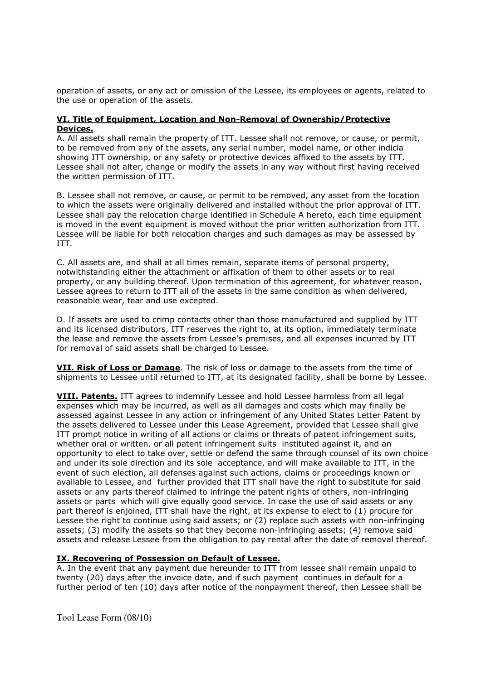operation of assets, or any act or omission of the Lessee, its employees or agents, related to the use or operation of the assets.

## VI. Title of Equipment, Location and Non-Removal of Ownership/Protective Devices.

A. All assets shall remain the property of ITT. Lessee shall not remove, or cause, or permit, to be removed from any of the assets, any serial number, model name, or other indicia showing ITT ownership, or any safety or protective devices affixed to the assets by ITT. Lessee shall not alter, change or modify the assets in any way without first having received the written permission of ITT.

B. Lessee shall not remove, or cause, or permit to be removed, any asset from the location to which the assets were originally delivered and installed without the prior approval of ITT. Lessee shall pay the relocation charge identified in Schedule A hereto, each time equipment is moved in the event equipment is moved without the prior written authorization from ITT. Lessee will be liable for both relocation charges and such damages as may be assessed by ITT.

C. All assets are, and shall at all times remain, separate items of personal property, notwithstanding either the attachment or affixation of them to other assets or to real property, or any building thereof. Upon termination of this agreement, for whatever reason, Lessee agrees to return to ITT all of the assets in the same condition as when delivered, reasonable wear, tear and use excepted.

D. If assets are used to crimp contacts other than those manufactured and supplied by ITT and its licensed distributors, ITT reserves the right to, at its option, immediately terminate the lease and remove the assets from Lessee's premises, and all expenses incurred by ITT for removal of said assets shall be charged to Lessee.

VII. Risk of Loss or Damage. The risk of loss or damage to the assets from the time of shipments to Lessee until returned to ITT, at its designated facility, shall be borne by Lessee.

VIII. Patents. ITT agrees to indemnify Lessee and hold Lessee harmless from all legal expenses which may be incurred, as well as all damages and costs which may finally be assessed against Lessee in any action or infringement of any United States Letter Patent by the assets delivered to Lessee under this Lease Agreement, provided that Lessee shall give ITT prompt notice in writing of all actions or claims or threats of patent infringement suits, whether oral or written. or all patent infringement suits instituted against it, and an opportunity to elect to take over, settle or defend the same through counsel of its own choice and under its sole direction and its sole acceptance, and will make available to ITT, in the event of such election, all defenses against such actions, claims or proceedings known or available to Lessee, and further provided that ITT shall have the right to substitute for said assets or any parts thereof claimed to infringe the patent rights of others, non-infringing assets or parts which will give equally good service. In case the use of said assets or any part thereof is enjoined, ITT shall have the right, at its expense to elect to (1) procure for Lessee the right to continue using said assets; or (2) replace such assets with non-infringing assets; (3) modify the assets so that they become non-infringing assets; (4) remove said assets and release Lessee from the obligation to pay rental after the date of removal thereof.

# IX. Recovering of Possession on Default of Lessee.

A. In the event that any payment due hereunder to ITT from lessee shall remain unpaid to twenty (20) days after the invoice date, and if such payment continues in default for a further period of ten (10) days after notice of the nonpayment thereof, then Lessee shall be